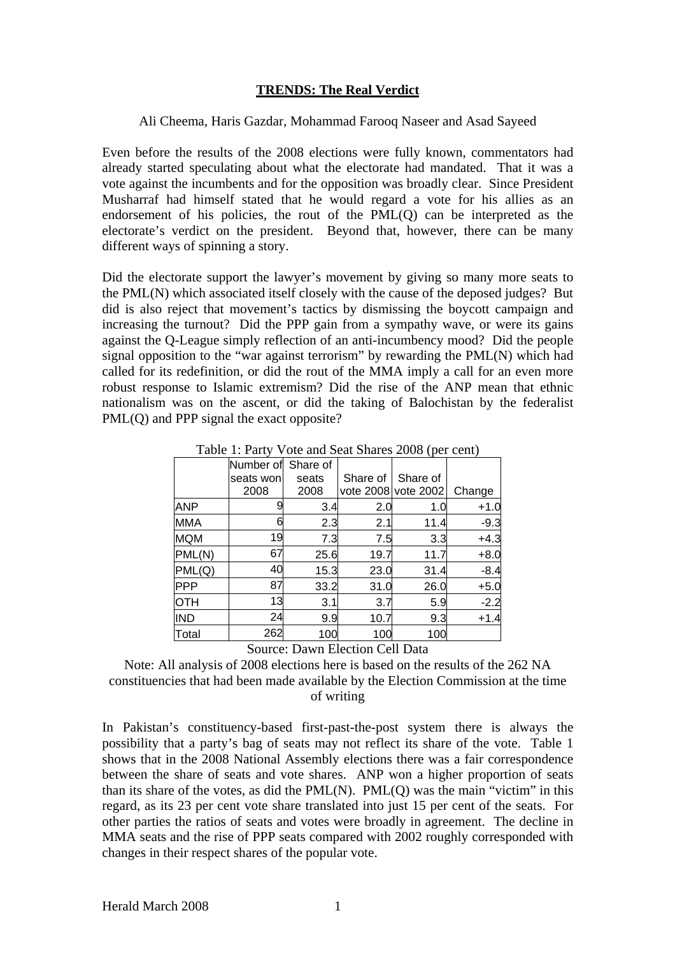## **TRENDS: The Real Verdict**

Ali Cheema, Haris Gazdar, Mohammad Farooq Naseer and Asad Sayeed

Even before the results of the 2008 elections were fully known, commentators had already started speculating about what the electorate had mandated. That it was a vote against the incumbents and for the opposition was broadly clear. Since President Musharraf had himself stated that he would regard a vote for his allies as an endorsement of his policies, the rout of the PML(Q) can be interpreted as the electorate's verdict on the president. Beyond that, however, there can be many different ways of spinning a story.

Did the electorate support the lawyer's movement by giving so many more seats to the PML(N) which associated itself closely with the cause of the deposed judges? But did is also reject that movement's tactics by dismissing the boycott campaign and increasing the turnout? Did the PPP gain from a sympathy wave, or were its gains against the Q-League simply reflection of an anti-incumbency mood? Did the people signal opposition to the "war against terrorism" by rewarding the PML(N) which had called for its redefinition, or did the rout of the MMA imply a call for an even more robust response to Islamic extremism? Did the rise of the ANP mean that ethnic nationalism was on the ascent, or did the taking of Balochistan by the federalist PML(Q) and PPP signal the exact opposite?

|            | Number of | Share of                      |          |                     |        |
|------------|-----------|-------------------------------|----------|---------------------|--------|
|            | seats won | seats                         | Share of | Share of            |        |
|            | 2008      | 2008                          |          | vote 2008 vote 2002 | Change |
| <b>ANP</b> |           | 3.4                           | 2.0      | 1.0                 | $+1.0$ |
| <b>MMA</b> |           | 2.3                           | 2.1      | 11.4                | $-9.3$ |
| <b>MQM</b> | 19        | 7.3                           | 7.5      | 3.3                 | $+4.3$ |
| PML(N)     | 67        | 25.6                          | 19.7     | 11.7                | $+8.0$ |
| PML(Q)     | 40        | 15.3                          | 23.0     | 31.4                | $-8.4$ |
| <b>PPP</b> | 87        | 33.2                          | 31.0     | 26.0                | $+5.0$ |
| <b>OTH</b> | 13        | 3.1                           | 3.7      | 5.9                 | $-2.2$ |
| <b>IND</b> | 24        | 9.9                           | 10.7     | 9.3                 | $+1.4$ |
| Total      | 262       | 100                           | 100      | 100                 |        |
|            | $\sim$    | -<br>$\overline{\phantom{a}}$ |          |                     |        |

Table 1: Party Vote and Seat Shares 2008 (per cent)

Source: Dawn Election Cell Data

Note: All analysis of 2008 elections here is based on the results of the 262 NA constituencies that had been made available by the Election Commission at the time of writing

In Pakistan's constituency-based first-past-the-post system there is always the possibility that a party's bag of seats may not reflect its share of the vote. Table 1 shows that in the 2008 National Assembly elections there was a fair correspondence between the share of seats and vote shares. ANP won a higher proportion of seats than its share of the votes, as did the PML(N). PML(Q) was the main "victim" in this regard, as its 23 per cent vote share translated into just 15 per cent of the seats. For other parties the ratios of seats and votes were broadly in agreement. The decline in MMA seats and the rise of PPP seats compared with 2002 roughly corresponded with changes in their respect shares of the popular vote.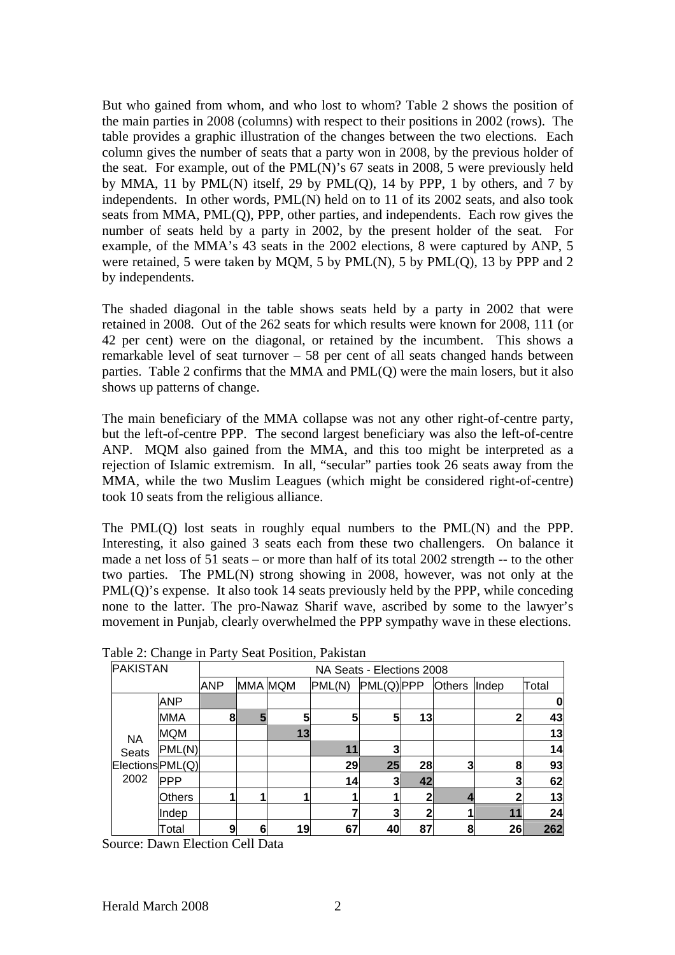But who gained from whom, and who lost to whom? Table 2 shows the position of the main parties in 2008 (columns) with respect to their positions in 2002 (rows). The table provides a graphic illustration of the changes between the two elections. Each column gives the number of seats that a party won in 2008, by the previous holder of the seat. For example, out of the PML(N)'s 67 seats in 2008, 5 were previously held by MMA, 11 by PML $(N)$  itself, 29 by PML $(Q)$ , 14 by PPP, 1 by others, and 7 by independents. In other words, PML(N) held on to 11 of its 2002 seats, and also took seats from MMA, PML(Q), PPP, other parties, and independents. Each row gives the number of seats held by a party in 2002, by the present holder of the seat. For example, of the MMA's 43 seats in the 2002 elections, 8 were captured by ANP, 5 were retained, 5 were taken by MQM, 5 by PML(N), 5 by PML(Q), 13 by PPP and 2 by independents.

The shaded diagonal in the table shows seats held by a party in 2002 that were retained in 2008. Out of the 262 seats for which results were known for 2008, 111 (or 42 per cent) were on the diagonal, or retained by the incumbent. This shows a remarkable level of seat turnover – 58 per cent of all seats changed hands between parties. Table 2 confirms that the MMA and PML(Q) were the main losers, but it also shows up patterns of change.

The main beneficiary of the MMA collapse was not any other right-of-centre party, but the left-of-centre PPP. The second largest beneficiary was also the left-of-centre ANP. MQM also gained from the MMA, and this too might be interpreted as a rejection of Islamic extremism. In all, "secular" parties took 26 seats away from the MMA, while the two Muslim Leagues (which might be considered right-of-centre) took 10 seats from the religious alliance.

The PML(Q) lost seats in roughly equal numbers to the PML(N) and the PPP. Interesting, it also gained 3 seats each from these two challengers. On balance it made a net loss of 51 seats – or more than half of its total 2002 strength -- to the other two parties. The PML(N) strong showing in 2008, however, was not only at the PML(Q)'s expense. It also took 14 seats previously held by the PPP, while conceding none to the latter. The pro-Nawaz Sharif wave, ascribed by some to the lawyer's movement in Punjab, clearly overwhelmed the PPP sympathy wave in these elections.

| <b>PAKISTAN</b>  | $\frac{1}{2}$ | NA Seats - Elections 2008 |         |    |        |            |    |               |       |       |
|------------------|---------------|---------------------------|---------|----|--------|------------|----|---------------|-------|-------|
|                  |               | <b>ANP</b>                | MMA MQM |    | PML(N) | PML(Q) PPP |    | <b>Others</b> | Indep | Total |
| <b>NA</b>        | <b>ANP</b>    |                           |         |    |        |            |    |               |       | O     |
|                  | <b>MMA</b>    | 8                         | 5       | 5  | 5      | 5          | 13 |               |       | 43    |
|                  | <b>MQM</b>    |                           |         | 13 |        |            |    |               |       | 13    |
| Seats            | PML(N)        |                           |         |    | 11     | 3          |    |               |       | 14    |
| Elections PML(Q) |               |                           |         |    | 29     | 25         | 28 | 3             | 8     | 93    |
| 2002             | <b>PPP</b>    |                           |         |    | 14     | 31         | 42 |               |       | 62    |
|                  | <b>Others</b> |                           |         |    |        |            | 2  |               |       | 13    |
|                  | Indep         |                           |         |    |        | 3          | 2  |               | 11    | 24    |
|                  | Total         | 9                         | 6       | 19 | 67     | 40         | 87 | 8             | 26    | 262   |

Table 2: Change in Party Seat Position, Pakistan

Source: Dawn Election Cell Data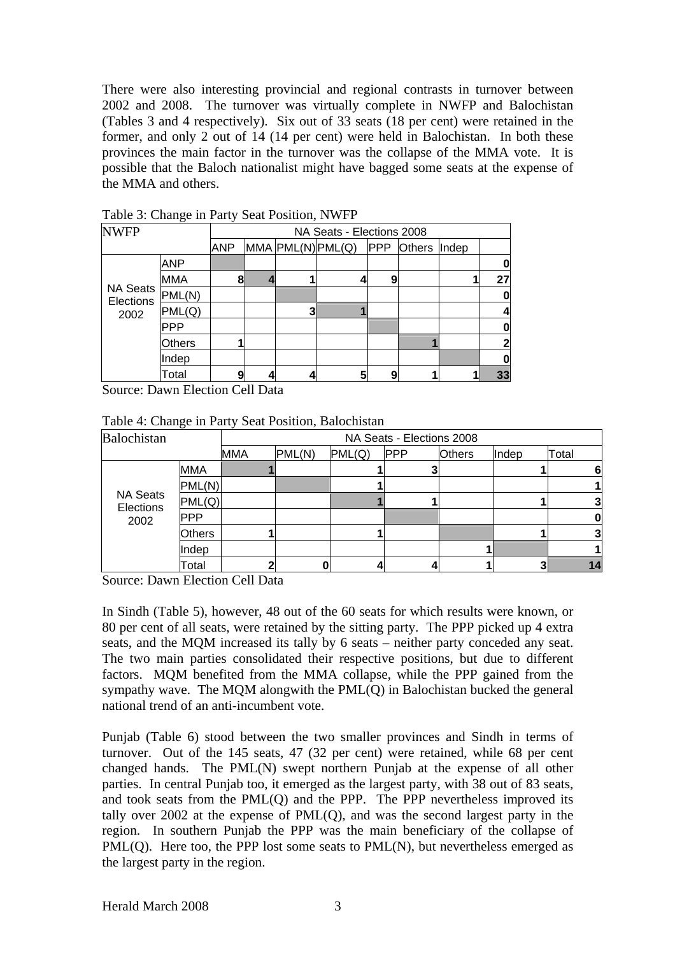There were also interesting provincial and regional contrasts in turnover between 2002 and 2008. The turnover was virtually complete in NWFP and Balochistan (Tables 3 and 4 respectively). Six out of 33 seats (18 per cent) were retained in the former, and only 2 out of 14 (14 per cent) were held in Balochistan. In both these provinces the main factor in the turnover was the collapse of the MMA vote. It is possible that the Baloch nationalist might have bagged some seats at the expense of the MMA and others.

|                              | ت             |            |                           |   |                         |            |               |       |    |  |  |
|------------------------------|---------------|------------|---------------------------|---|-------------------------|------------|---------------|-------|----|--|--|
| <b>NWFP</b>                  |               |            | NA Seats - Elections 2008 |   |                         |            |               |       |    |  |  |
|                              |               | <b>ANP</b> |                           |   | $MMA$ $PML(N)$ $PML(Q)$ | <b>PPP</b> | <b>Others</b> | Indep |    |  |  |
| <b>NA Seats</b><br>Elections | <b>ANP</b>    |            |                           |   |                         |            |               |       |    |  |  |
|                              | MMA           | 8          |                           |   |                         | 9          |               |       | 27 |  |  |
|                              | PML(N)        |            |                           |   |                         |            |               |       | ŋ  |  |  |
| 2002                         | PML(Q)        |            |                           | 3 |                         |            |               |       |    |  |  |
|                              | <b>PPP</b>    |            |                           |   |                         |            |               |       |    |  |  |
|                              | <b>Others</b> |            |                           |   |                         |            |               |       |    |  |  |
|                              | Indep         |            |                           |   |                         |            |               |       |    |  |  |
|                              | Total         | 9          |                           |   |                         | 9          |               |       | 33 |  |  |

Table 3: Change in Party Seat Position, NWFP

Source: Dawn Election Cell Data

| Table 4: Change in Party Seat Position, Balochistan |  |  |  |
|-----------------------------------------------------|--|--|--|
|-----------------------------------------------------|--|--|--|

| Balochistan                  |               | NA Seats - Elections 2008 |        |        |            |               |       |       |  |  |
|------------------------------|---------------|---------------------------|--------|--------|------------|---------------|-------|-------|--|--|
|                              |               | <b>MMA</b>                | PML(N) | PML(Q) | <b>PPP</b> | <b>Others</b> | Indep | Total |  |  |
|                              | <b>MMA</b>    |                           |        |        |            |               |       | 61    |  |  |
|                              | PML(N)        |                           |        |        |            |               |       |       |  |  |
| <b>NA Seats</b><br>Elections | PML(Q)        |                           |        |        |            |               |       |       |  |  |
| 2002                         | <b>PPP</b>    |                           |        |        |            |               |       |       |  |  |
|                              | <b>Others</b> |                           |        |        |            |               |       |       |  |  |
|                              | Indep         |                           |        |        |            |               |       |       |  |  |
|                              | Total         |                           |        |        |            |               |       | 14    |  |  |

Source: Dawn Election Cell Data

In Sindh (Table 5), however, 48 out of the 60 seats for which results were known, or 80 per cent of all seats, were retained by the sitting party. The PPP picked up 4 extra seats, and the MQM increased its tally by 6 seats – neither party conceded any seat. The two main parties consolidated their respective positions, but due to different factors. MQM benefited from the MMA collapse, while the PPP gained from the sympathy wave. The MQM alongwith the PML(Q) in Balochistan bucked the general national trend of an anti-incumbent vote.

Punjab (Table 6) stood between the two smaller provinces and Sindh in terms of turnover. Out of the 145 seats, 47 (32 per cent) were retained, while 68 per cent changed hands. The PML(N) swept northern Punjab at the expense of all other parties. In central Punjab too, it emerged as the largest party, with 38 out of 83 seats, and took seats from the PML(Q) and the PPP. The PPP nevertheless improved its tally over  $2002$  at the expense of  $PML(Q)$ , and was the second largest party in the region. In southern Punjab the PPP was the main beneficiary of the collapse of PML(Q). Here too, the PPP lost some seats to PML(N), but nevertheless emerged as the largest party in the region.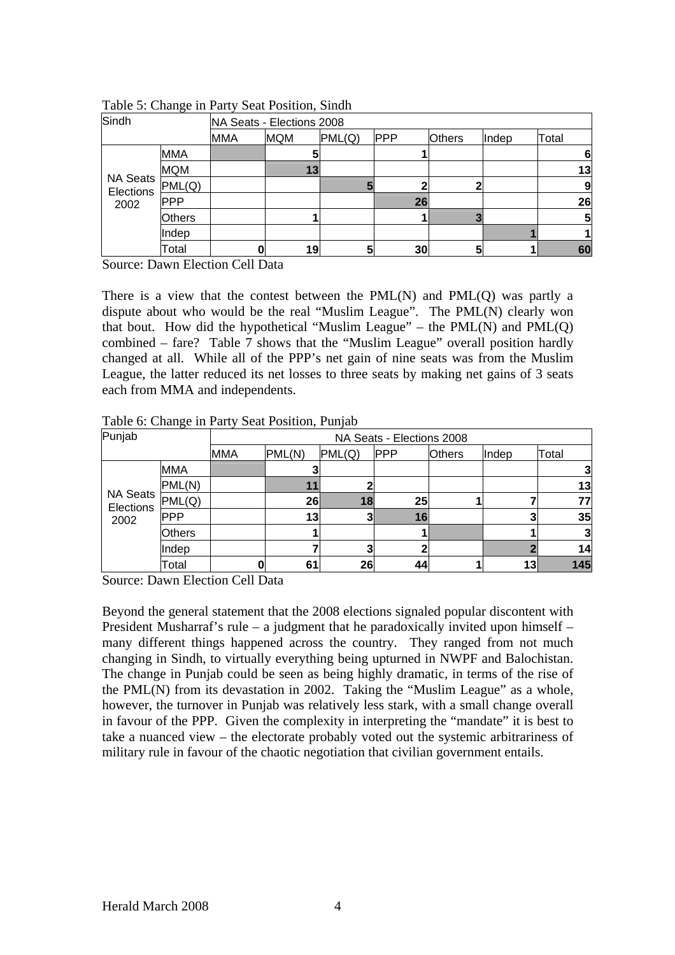| Sindh                 |               | NA Seats - Elections 2008 |            |        |            |               |       |       |  |
|-----------------------|---------------|---------------------------|------------|--------|------------|---------------|-------|-------|--|
|                       |               | <b>MMA</b>                | <b>MQM</b> | PML(Q) | <b>PPP</b> | <b>Others</b> | Indep | Total |  |
|                       | <b>MMA</b>    |                           | 5          |        |            |               |       | 61    |  |
|                       | <b>MQM</b>    |                           | 13         |        |            |               |       | 13    |  |
| NA Seats<br>Elections | PML(Q)        |                           |            |        |            |               |       | 9     |  |
| 2002                  | <b>PPP</b>    |                           |            |        | 26         |               |       | 26    |  |
|                       | <b>Others</b> |                           |            |        |            |               |       | 5     |  |
|                       | Indep         |                           |            |        |            |               |       |       |  |
|                       | Total         | 0                         | 19         | 5      | 30         | 5             |       | 60    |  |

Table 5: Change in Party Seat Position, Sindh

Source: Dawn Election Cell Data

There is a view that the contest between the PML(N) and PML(Q) was partly a dispute about who would be the real "Muslim League". The PML(N) clearly won that bout. How did the hypothetical "Muslim League" – the  $PML(N)$  and  $PML(Q)$ combined – fare? Table 7 shows that the "Muslim League" overall position hardly changed at all. While all of the PPP's net gain of nine seats was from the Muslim League, the latter reduced its net losses to three seats by making net gains of 3 seats each from MMA and independents.

| Punjab                |               |            | NA Seats - Elections 2008 |        |            |               |       |       |  |  |  |
|-----------------------|---------------|------------|---------------------------|--------|------------|---------------|-------|-------|--|--|--|
|                       |               | <b>MMA</b> | PML(N)                    | PML(Q) | <b>PPP</b> | <b>Others</b> | Indep | Total |  |  |  |
| NA Seats<br>Elections | <b>MMA</b>    |            |                           |        |            |               |       |       |  |  |  |
|                       | PML(N)        |            |                           |        |            |               |       | 13    |  |  |  |
|                       | PML(Q)        |            | 26                        | 18     | 25         |               |       | 77    |  |  |  |
| 2002                  | <b>IPPP</b>   |            | 13                        |        | 16         |               |       | 35    |  |  |  |
|                       | <b>Others</b> |            |                           |        |            |               |       |       |  |  |  |
|                       | Indep         |            |                           |        |            |               |       | 14    |  |  |  |
|                       | Total         |            | 61                        | 26     | 44         |               | 13    | 145   |  |  |  |

Table 6: Change in Party Seat Position, Punjab

Source: Dawn Election Cell Data

Beyond the general statement that the 2008 elections signaled popular discontent with President Musharraf's rule – a judgment that he paradoxically invited upon himself – many different things happened across the country. They ranged from not much changing in Sindh, to virtually everything being upturned in NWPF and Balochistan. The change in Punjab could be seen as being highly dramatic, in terms of the rise of the PML(N) from its devastation in 2002. Taking the "Muslim League" as a whole, however, the turnover in Punjab was relatively less stark, with a small change overall in favour of the PPP. Given the complexity in interpreting the "mandate" it is best to take a nuanced view – the electorate probably voted out the systemic arbitrariness of military rule in favour of the chaotic negotiation that civilian government entails.